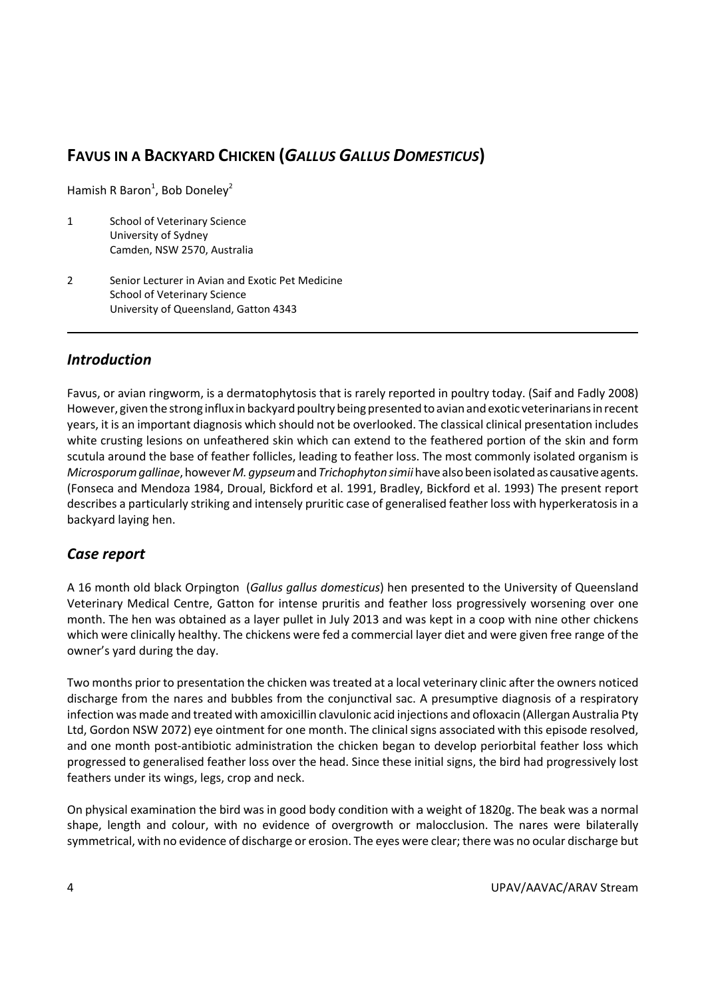# **FAVUS IN A BACKYARD CHICKEN (***GALLUS GALLUS DOMESTICUS***)**

Hamish R Baron<sup>1</sup>, Bob Doneley<sup>2</sup>

- 1 School of Veterinary Science University of Sydney Camden, NSW 2570, Australia
- 2 Senior Lecturer in Avian and Exotic Pet Medicine School of Veterinary Science University of Queensland, Gatton 4343

## *Introduction*

Favus, or avian ringworm, is a dermatophytosis that is rarely reported in poultry today. (Saif and Fadly 2008) However, given the strong influx in backyard poultry being presented to avian and exotic veterinarians in recent years, it is an important diagnosis which should not be overlooked. The classical clinical presentation includes white crusting lesions on unfeathered skin which can extend to the feathered portion of the skin and form scutula around the base of feather follicles, leading to feather loss. The most commonly isolated organism is *Microsporumgallinae*,however*M.gypseum*and*Trichophyton simii* have also beenisolatedas causative agents. (Fonseca and Mendoza 1984, Droual, Bickford et al. 1991, Bradley, Bickford et al. 1993) The present report describes a particularly striking and intensely pruritic case of generalised feather loss with hyperkeratosis in a backyard laying hen.

### *Case report*

A 16 month old black Orpington (*Gallus gallus domesticus*) hen presented to the University of Queensland Veterinary Medical Centre, Gatton for intense pruritis and feather loss progressively worsening over one month. The hen was obtained as a layer pullet in July 2013 and was kept in a coop with nine other chickens which were clinically healthy. The chickens were fed a commercial layer diet and were given free range of the owner's yard during the day.

Two months prior to presentation the chicken wastreated at a local veterinary clinic after the owners noticed discharge from the nares and bubbles from the conjunctival sac. A presumptive diagnosis of a respiratory infection was made and treated with amoxicillin clavulonic acid injections and ofloxacin (Allergan Australia Pty Ltd, Gordon NSW 2072) eye ointment for one month. The clinical signs associated with this episode resolved, and one month post-antibiotic administration the chicken began to develop periorbital feather loss which progressed to generalised feather loss over the head. Since these initial signs, the bird had progressively lost feathers under its wings, legs, crop and neck.

On physical examination the bird was in good body condition with a weight of 1820g. The beak was a normal shape, length and colour, with no evidence of overgrowth or malocclusion. The nares were bilaterally symmetrical, with no evidence of discharge or erosion. The eyes were clear; there was no ocular discharge but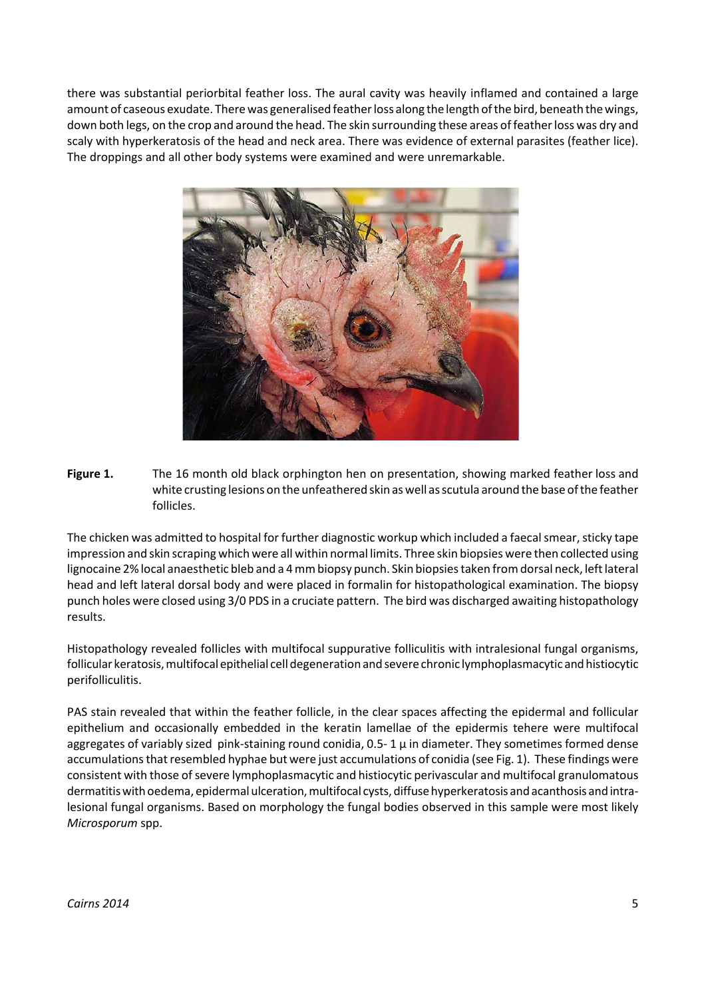there was substantial periorbital feather loss. The aural cavity was heavily inflamed and contained a large amount of caseous exudate. There was generalised feather loss along the length of the bird, beneath the wings, down both legs, on the crop and around the head. The skin surrounding these areas of feather loss was dry and scaly with hyperkeratosis of the head and neck area. There was evidence of external parasites (feather lice). The droppings and all other body systems were examined and were unremarkable.



**Figure 1.** The 16 month old black orphington hen on presentation, showing marked feather loss and white crusting lesions on the unfeathered skin as well as scutula around the base of the feather follicles.

The chicken was admitted to hospital for further diagnostic workup which included a faecal smear, sticky tape impression and skin scraping which were all within normal limits. Three skin biopsies were then collected using lignocaine 2% local anaesthetic bleb and a 4 mm biopsy punch. Skin biopsies taken from dorsal neck, left lateral head and left lateral dorsal body and were placed in formalin for histopathological examination. The biopsy punch holes were closed using 3/0 PDS in a cruciate pattern. The bird was discharged awaiting histopathology results.

Histopathology revealed follicles with multifocal suppurative folliculitis with intralesional fungal organisms, follicular keratosis,multifocal epithelial celldegenerationandsevere chronic lymphoplasmacytic andhistiocytic perifolliculitis.

PAS stain revealed that within the feather follicle, in the clear spaces affecting the epidermal and follicular epithelium and occasionally embedded in the keratin lamellae of the epidermis tehere were multifocal aggregates of variably sized pink-staining round conidia,  $0.5 - 1 \mu$  in diameter. They sometimes formed dense accumulations that resembled hyphae but were just accumulations of conidia (see Fig. 1). These findings were consistent with those of severe lymphoplasmacytic and histiocytic perivascular and multifocal granulomatous dermatitis with oedema, epidermal ulceration, multifocal cysts, diffuse hyperkeratosis and acanthosis and intralesional fungal organisms. Based on morphology the fungal bodies observed in this sample were most likely *Microsporum* spp.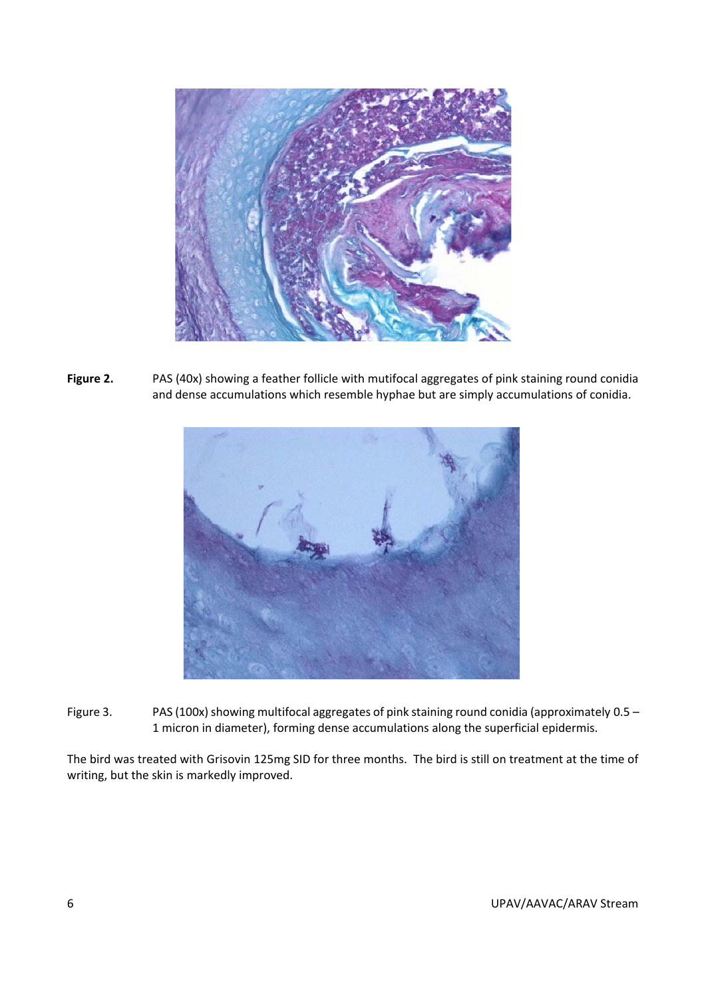

**Figure 2.** PAS (40x) showing a feather follicle with mutifocal aggregates of pink staining round conidia and dense accumulations which resemble hyphae but are simply accumulations of conidia.



Figure 3. PAS (100x) showing multifocal aggregates of pink staining round conidia (approximately  $0.5 -$ 1 micron in diameter), forming dense accumulations along the superficial epidermis.

The bird was treated with Grisovin 125mg SID for three months. The bird is still on treatment at the time of writing, but the skin is markedly improved.